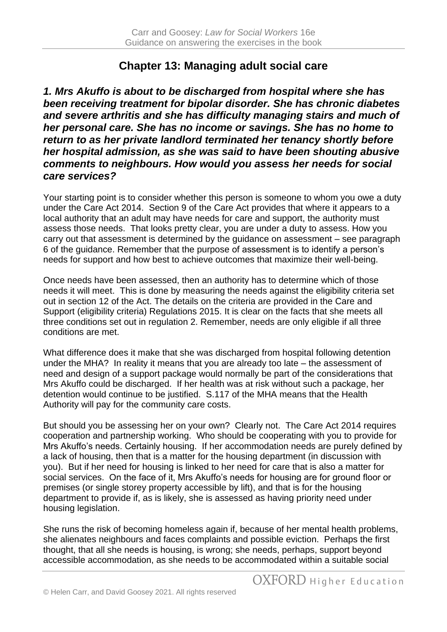# **Chapter 13: Managing adult social care**

*1. Mrs Akuffo is about to be discharged from hospital where she has been receiving treatment for bipolar disorder. She has chronic diabetes and severe arthritis and she has difficulty managing stairs and much of her personal care. She has no income or savings. She has no home to return to as her private landlord terminated her tenancy shortly before her hospital admission, as she was said to have been shouting abusive comments to neighbours. How would you assess her needs for social care services?*

Your starting point is to consider whether this person is someone to whom you owe a duty under the Care Act 2014. Section 9 of the Care Act provides that where it appears to a local authority that an adult may have needs for care and support, the authority must assess those needs. That looks pretty clear, you are under a duty to assess. How you carry out that assessment is determined by the guidance on assessment – see paragraph 6 of the guidance. Remember that the purpose of assessment is to identify a person's needs for support and how best to achieve outcomes that maximize their well-being.

Once needs have been assessed, then an authority has to determine which of those needs it will meet. This is done by measuring the needs against the eligibility criteria set out in section 12 of the Act. The details on the criteria are provided in the Care and Support (eligibility criteria) Regulations 2015. It is clear on the facts that she meets all three conditions set out in regulation 2. Remember, needs are only eligible if all three conditions are met.

What difference does it make that she was discharged from hospital following detention under the MHA? In reality it means that you are already too late – the assessment of need and design of a support package would normally be part of the considerations that Mrs Akuffo could be discharged. If her health was at risk without such a package, her detention would continue to be justified. S.117 of the MHA means that the Health Authority will pay for the community care costs.

But should you be assessing her on your own? Clearly not. The Care Act 2014 requires cooperation and partnership working. Who should be cooperating with you to provide for Mrs Akuffo's needs. Certainly housing. If her accommodation needs are purely defined by a lack of housing, then that is a matter for the housing department (in discussion with you). But if her need for housing is linked to her need for care that is also a matter for social services. On the face of it, Mrs Akuffo's needs for housing are for ground floor or premises (or single storey property accessible by lift), and that is for the housing department to provide if, as is likely, she is assessed as having priority need under housing legislation.

She runs the risk of becoming homeless again if, because of her mental health problems, she alienates neighbours and faces complaints and possible eviction. Perhaps the first thought, that all she needs is housing, is wrong; she needs, perhaps, support beyond accessible accommodation, as she needs to be accommodated within a suitable social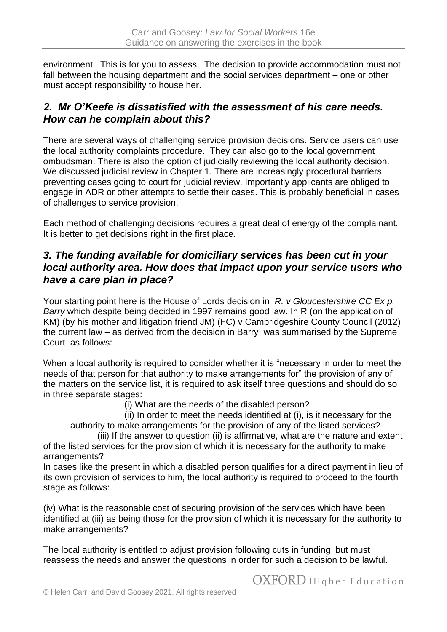environment. This is for you to assess. The decision to provide accommodation must not fall between the housing department and the social services department – one or other must accept responsibility to house her.

## *2. Mr O'Keefe is dissatisfied with the assessment of his care needs. How can he complain about this?*

There are several ways of challenging service provision decisions. Service users can use the local authority complaints procedure. They can also go to the local government ombudsman. There is also the option of judicially reviewing the local authority decision. We discussed judicial review in Chapter 1. There are increasingly procedural barriers preventing cases going to court for judicial review. Importantly applicants are obliged to engage in ADR or other attempts to settle their cases. This is probably beneficial in cases of challenges to service provision.

Each method of challenging decisions requires a great deal of energy of the complainant. It is better to get decisions right in the first place.

### *3. The funding available for domiciliary services has been cut in your local authority area. How does that impact upon your service users who have a care plan in place?*

Your starting point here is the House of Lords decision in *R. v Gloucestershire CC Ex p. Barry* which despite being decided in 1997 remains good law. In R (on the application of KM) (by his mother and litigation friend JM) (FC) v Cambridgeshire County Council (2012) the current law – as derived from the decision in Barry was summarised by the Supreme Court as follows:

When a local authority is required to consider whether it is "necessary in order to meet the needs of that person for that authority to make arrangements for" the provision of any of the matters on the service list, it is required to ask itself three questions and should do so in three separate stages:

(i) What are the needs of the disabled person?

(ii) In order to meet the needs identified at (i), is it necessary for the authority to make arrangements for the provision of any of the listed services?

(iii) If the answer to question (ii) is affirmative, what are the nature and extent of the listed services for the provision of which it is necessary for the authority to make arrangements?

In cases like the present in which a disabled person qualifies for a direct payment in lieu of its own provision of services to him, the local authority is required to proceed to the fourth stage as follows:

(iv) What is the reasonable cost of securing provision of the services which have been identified at (iii) as being those for the provision of which it is necessary for the authority to make arrangements?

The local authority is entitled to adjust provision following cuts in funding but must reassess the needs and answer the questions in order for such a decision to be lawful.